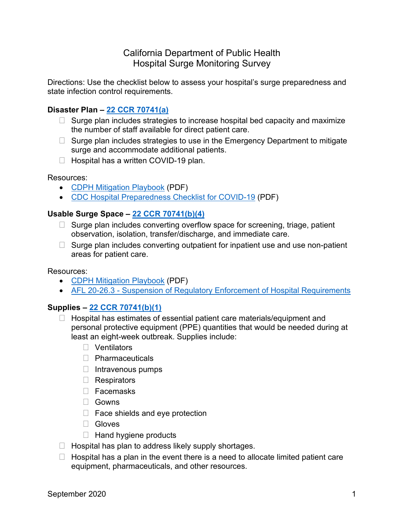# California Department of Public Health Hospital Surge Monitoring Survey

Directions: Use the checklist below to assess your hospital's surge preparedness and state infection control requirements.

### **Disaster Plan – [22 CCR 70741\(a\)](https://govt.westlaw.com/calregs/Document/I1E3430D0FB1711DEACA9F33E9EE53480?viewType=FullText&originationContext=documenttoc&transitionType=CategoryPageItem&contextData=(sc.Default))**

- $\Box$  Surge plan includes strategies to increase hospital bed capacity and maximize the number of staff available for direct patient care.
- $\Box$  Surge plan includes strategies to use in the Emergency Department to mitigate surge and accommodate additional patients.
- $\Box$  Hospital has a written COVID-19 plan.

#### Resources:

- [CDPH Mitigation Playbook](https://www.cdph.ca.gov/Programs/CHCQ/LCP/CDPH%20Document%20Library/AFL-20-23-Mitigation-Playbook.pdf) (PDF)
- [CDC Hospital Preparedness Checklist for COVID-19](https://www.cdc.gov/coronavirus/2019-ncov/downloads/HCW_Checklist_508.pdf) (PDF)

### **Usable Surge Space – [22 CCR 70741\(b\)\(4\)](https://govt.westlaw.com/calregs/Document/I1E3430D0FB1711DEACA9F33E9EE53480?viewType=FullText&originationContext=documenttoc&transitionType=CategoryPageItem&contextData=(sc.Default))**

- $\Box$  Surge plan includes converting overflow space for screening, triage, patient observation, isolation, transfer/discharge, and immediate care.
- $\Box$  Surge plan includes converting outpatient for inpatient use and use non-patient areas for patient care.

#### Resources:

- [CDPH Mitigation Playbook](https://www.cdph.ca.gov/Programs/CHCQ/LCP/CDPH%20Document%20Library/AFL-20-23-Mitigation-Playbook.pdf) (PDF)
- AFL [20-26.3 Suspension of Regulatory Enforcement of Hospital Requirements](https://www.cdph.ca.gov/Programs/CHCQ/LCP/Pages/AFL-20-26.aspx)

### **Supplies – [22 CCR 70741\(b\)\(1\)](https://govt.westlaw.com/calregs/Document/I1E3430D0FB1711DEACA9F33E9EE53480?viewType=FullText&originationContext=documenttoc&transitionType=CategoryPageItem&contextData=(sc.Default))**

- $\Box$  Hospital has estimates of essential patient care materials/equipment and personal protective equipment (PPE) quantities that would be needed during at least an eight-week outbreak. Supplies include:
	- □ Ventilators
	- D Pharmaceuticals
	- $\Box$  Intravenous pumps
	- Respirators
	- Facemasks
	- □ Gowns
	- $\Box$  Face shields and eye protection
	- □ Gloves
	- $\Box$  Hand hygiene products
- $\Box$  Hospital has plan to address likely supply shortages.
- $\Box$  Hospital has a plan in the event there is a need to allocate limited patient care equipment, pharmaceuticals, and other resources.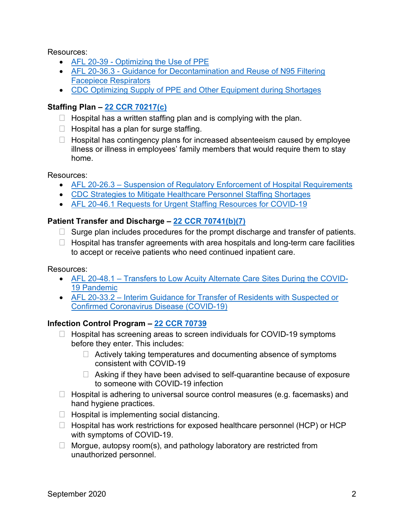Resources:

- [AFL 20-39 Optimizing the Use of PPE](https://www.cdph.ca.gov/Programs/CHCQ/LCP/Pages/AFL-20-39.aspx)
- AFL 20-36.3 [Guidance for Decontamination and Reuse of N95 Filtering](https://www.cdph.ca.gov/Programs/CHCQ/LCP/Pages/AFL-20-36.aspx)  [Facepiece Respirators](https://www.cdph.ca.gov/Programs/CHCQ/LCP/Pages/AFL-20-36.aspx)
- [CDC Optimizing Supply of PPE and Other Equipment during Shortages](https://www.cdc.gov/coronavirus/2019-ncov/hcp/ppe-strategy/index.html)

## **Staffing Plan – [22 CCR 70217\(c\)](https://govt.westlaw.com/calregs/Document/I8612C410941F11E29091E6B951DDF6CE?viewType=FullText&originationContext=documenttoc&transitionType=CategoryPageItem&contextData=(sc.Default))**

- $\Box$  Hospital has a written staffing plan and is complying with the plan.
- $\Box$  Hospital has a plan for surge staffing.
- $\Box$  Hospital has contingency plans for increased absenteeism caused by employee illness or illness in employees' family members that would require them to stay home.

Resources:

- [AFL 20-26.3 Suspension of Regulatory Enforcement of Hospital Requirements](https://www.cdph.ca.gov/Programs/CHCQ/LCP/Pages/AFL-20-26.aspx)
- [CDC Strategies to Mitigate Healthcare Personnel Staffing Shortages](https://www.cdc.gov/coronavirus/2019-ncov/hcp/mitigating-staff-shortages.html)
- [AFL 20-46.1 Requests for Urgent Staffing Resources for COVID-19](https://www.cdph.ca.gov/Programs/CHCQ/LCP/Pages/AFL-20-46.aspx)

### **Patient Transfer and Discharge – [22 CCR 70741\(b\)\(7\)](https://govt.westlaw.com/calregs/Document/I1E3430D0FB1711DEACA9F33E9EE53480?viewType=FullText&originationContext=documenttoc&transitionType=CategoryPageItem&contextData=(sc.Default))**

- $\Box$  Surge plan includes procedures for the prompt discharge and transfer of patients.
- $\Box$  Hospital has transfer agreements with area hospitals and long-term care facilities to accept or receive patients who need continued inpatient care.

Resources:

- [AFL 20-48.1 Transfers to Low Acuity Alternate Care Sites During the COVID-](https://www.cdph.ca.gov/Programs/CHCQ/LCP/Pages/AFL-20-48.aspx)[19 Pandemic](https://www.cdph.ca.gov/Programs/CHCQ/LCP/Pages/AFL-20-48.aspx)
- [AFL 20-33.2 Interim Guidance for Transfer of Residents with Suspected or](https://www.cdph.ca.gov/Programs/CHCQ/LCP/Pages/AFL-20-33.aspx)  [Confirmed Coronavirus Disease \(COVID-19\)](https://www.cdph.ca.gov/Programs/CHCQ/LCP/Pages/AFL-20-33.aspx)

## **Infection Control Program – [22 CCR 70739](https://govt.westlaw.com/calregs/Document/I17FB9F40D4BC11DE8879F88E8B0DAAAE?viewType=FullText&originationContext=documenttoc&transitionType=CategoryPageItem&contextData=(sc.Default))**

- $\Box$  Hospital has screening areas to screen individuals for COVID-19 symptoms before they enter. This includes:
	- $\Box$  Actively taking temperatures and documenting absence of symptoms consistent with COVID-19
	- $\Box$  Asking if they have been advised to self-quarantine because of exposure to someone with COVID-19 infection
- $\Box$  Hospital is adhering to universal source control measures (e.g. facemasks) and hand hygiene practices.
- $\Box$  Hospital is implementing social distancing.
- $\Box$  Hospital has work restrictions for exposed healthcare personnel (HCP) or HCP with symptoms of COVID-19.
- $\Box$  Morgue, autopsy room(s), and pathology laboratory are restricted from unauthorized personnel.